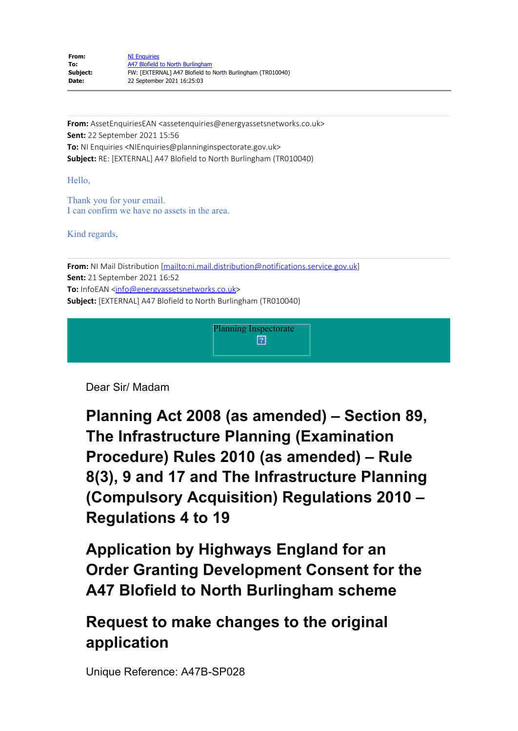| From:    | <b>NI Enquiries</b>                                        |
|----------|------------------------------------------------------------|
| To:      | A47 Blofield to North Burlingham                           |
| Subject: | FW: [EXTERNAL] A47 Blofield to North Burlingham (TR010040) |
| Date:    | 22 September 2021 16:25:03                                 |

**From:** AssetEnquiriesEAN <assetenquiries@energyassetsnetworks.co.uk> **Sent:** 22 September 2021 15:56 **To:** NI Enquiries <NIEnquiries@planninginspectorate.gov.uk> **Subject:** RE: [EXTERNAL] A47 Blofield to North Burlingham (TR010040)

Hello,

Thank you for your email. I can confirm we have no assets in the area.

Kind regards,

From: NI Mail Distribution [mailto:ni.mail.distribution@notifications.service.gov.uk] **Sent:** 21 September 2021 16:52 To: InfoEAN <info@energyassetsnetworks.co.uk> **Subject:** [EXTERNAL] A47 Blofield to North Burlingham (TR010040)



Dear Sir/ Madam

**Planning Act 2008 (as amended) – Section 89, The Infrastructure Planning (Examination Procedure) Rules 2010 (as amended) – Rule 8(3), 9 and 17 and The Infrastructure Planning (Compulsory Acquisition) Regulations 2010 – Regulations 4 to 19**

**Application by Highways England for an Order Granting Development Consent for the A47 Blofield to North Burlingham scheme**

**Request to make changes to the original application**

Unique Reference: A47B-SP028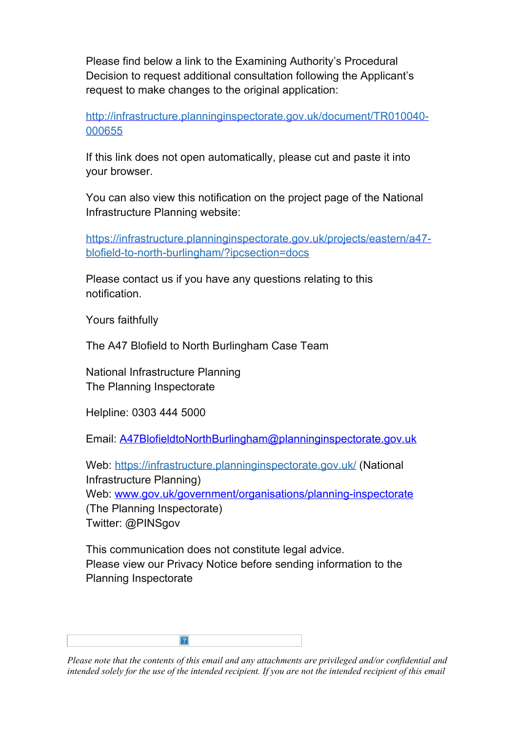Please find below a link to the Examining Authority's Procedural Decision to request additional consultation following the Applicant's request to make changes to the original application:

http://infrastructure.planninginspectorate.gov.uk/document/TR010040- [000655](https://gbr01.safelinks.protection.outlook.com/?url=http%3A%2F%2Finfrastructure.planninginspectorate.gov.uk%2Fdocument%2FTR010040-000655&data=04%7C01%7CA47BlofieldtoNorthBurlingham%40planninginspectorate.gov.uk%7C28b365b105f64a1410bf08d97ddd256b%7C5878df986f8848ab9322998ce557088d%7C0%7C0%7C637679211031457133%7CUnknown%7CTWFpbGZsb3d8eyJWIjoiMC4wLjAwMDAiLCJQIjoiV2luMzIiLCJBTiI6Ik1haWwiLCJXVCI6Mn0%3D%7C1000&sdata=xfcHf2a2DkVYDxXeBmrVhzYFCfVd7Oyk6CqLSNRPtrI%3D&reserved=0)

If this link does not open automatically, please cut and paste it into your browser.

You can also view this notification on the project page of the National Infrastructure Planning website:

https://infrastructure.planninginspectorate.gov.uk/projects/eastern/a47 [blofield-to-north-burlingham/?ipcsection=docs](https://infrastructure.planninginspectorate.gov.uk/projects/eastern/a47-blofield-to-north-burlingham/?ipcsection=docs)

Please contact us if you have any questions relating to this notification.

Yours faithfully

The A47 Blofield to North Burlingham Case Team

National Infrastructure Planning The Planning Inspectorate

Helpline: 0303 444 5000

Email: A47BlofieldtoNorthBurlingham@planninginspectorate.gov.uk

Web: https://infrastructure.planninginspectorate.gov.uk/ (National Infrastructure Planning) Web: www.gov.uk/government/organisations/planning-inspectorate

(The Planning Inspectorate) Twitter: @PINSgov

This communication does not constitute legal advice. Please view our Privacy Notice before sending information to the Planning Inspectorate



*Please note that the contents of this email and any attachments are privileged and/or confidential and intended solely for the use of the intended recipient. If you are not the intended recipient of this email*